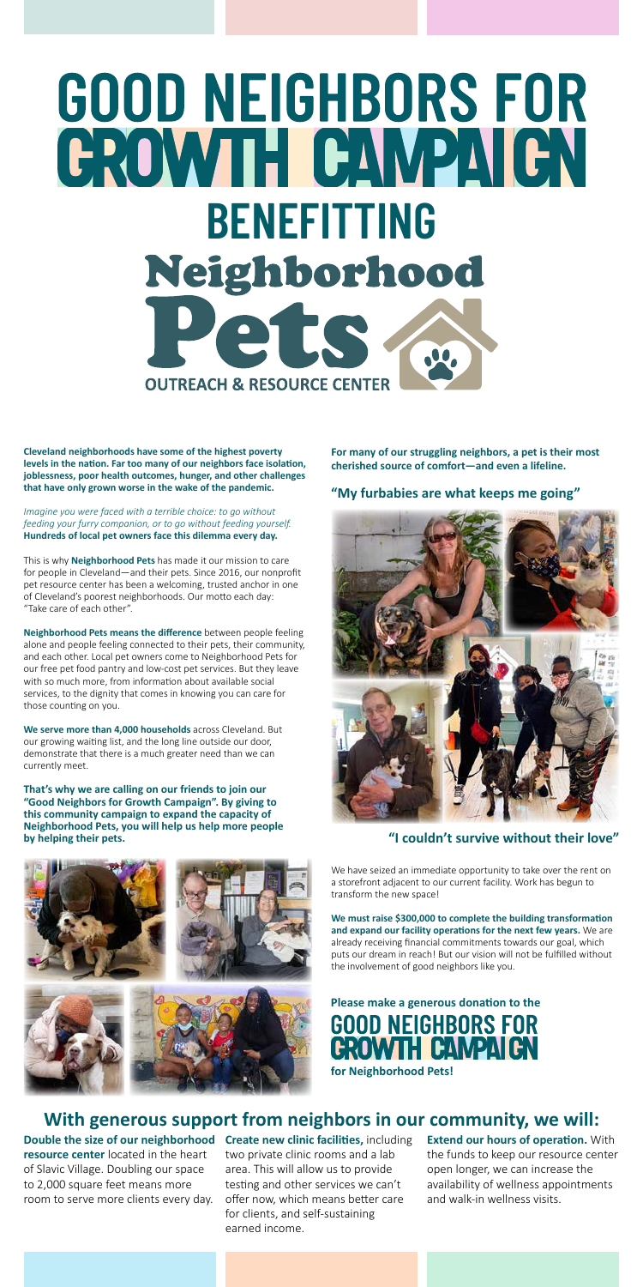# GOOD NEIGHBORS FOR CROWIH CAWPAICN **BENEFITTING** Neighborhood Pete **OUTREACH & RESOURCE CENTER**

**Cleveland neighborhoods have some of the highest poverty levels in the nation. Far too many of our neighbors face isolation, joblessness, poor health outcomes, hunger, and other challenges that have only grown worse in the wake of the pandemic.**

*Imagine you were faced with a terrible choice: to go without feeding your furry companion, or to go without feeding yourself.*  **Hundreds of local pet owners face this dilemma every day.**

This is why **Neighborhood Pets** has made it our mission to care for people in Cleveland—and their pets. Since 2016, our nonprofit pet resource center has been a welcoming, trusted anchor in one of Cleveland's poorest neighborhoods. Our motto each day: "Take care of each other".

**Neighborhood Pets means the difference** between people feeling alone and people feeling connected to their pets, their community, and each other. Local pet owners come to Neighborhood Pets for our free pet food pantry and low-cost pet services. But they leave with so much more, from information about available social services, to the dignity that comes in knowing you can care for those counting on you.

**We serve more than 4,000 households** across Cleveland. But our growing waiting list, and the long line outside our door, demonstrate that there is a much greater need than we can currently meet.

## **Please make a generous donation to the GOOD NEIGHBORS FOR FAMPAIEN**

**That's why we are calling on our friends to join our "Good Neighbors for Growth Campaign". By giving to this community campaign to expand the capacity of Neighborhood Pets, you will help us help more people by helping their pets.**





We have seized an immediate opportunity to take over the rent on a storefront adjacent to our current facility. Work has begun to transform the new space!

**We must raise \$300,000 to complete the building transformation and expand our facility operations for the next few years.** We are already receiving financial commitments towards our goal, which puts our dream in reach! But our vision will not be fulfilled without the involvement of good neighbors like you.

**Double the size of our neighborhood Create new clinic facilities,** including **resource center** located in the heart of Slavic Village. Doubling our space to 2,000 square feet means more room to serve more clients every day.

two private clinic rooms and a lab area. This will allow us to provide testing and other services we can't offer now, which means better care for clients, and self-sustaining earned income.

**Extend our hours of operation.** With the funds to keep our resource center open longer, we can increase the availability of wellness appointments and walk-in wellness visits.

### **With generous support from neighbors in our community, we will:**

**For many of our struggling neighbors, a pet is their most cherished source of comfort—and even a lifeline.** 

**for Neighborhood Pets!** 

#### **"I couldn't survive without their love"**

#### **"My furbabies are what keeps me going"**